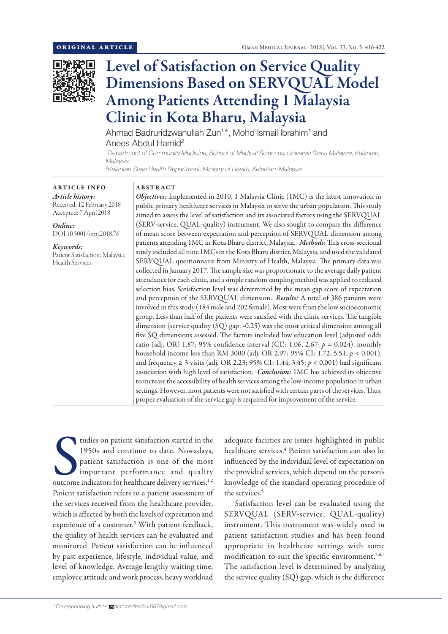

# Level of Satisfaction on Service Quality Dimensions Based on SERVQUAL Model Among Patients Attending 1 Malaysia Clinic in Kota Bharu, Malaysia

Ahmad Badruridzwanullah Zun<sup>1\*</sup>, Mohd Ismail Ibrahim<sup>1</sup> and Anees Abdul Hamid<sup>2</sup>

*1 Department of Community Medicine, School of Medical Sciences, Universiti Sains Malaysia, Kelantan, Malaysia*

*2 Kelantan State Health Department, Ministry of Health, Kelantan, Malaysia*

#### ARTICLE INFO *Article history:* Received: 12 February 2018 Accepted: 7 April 2018

DOI 10.5001/omj.2018.76

Patient Satisfaction; Malaysia;

*Online:*

*Keywords:* 

Health Services.

ABSTRACT

*Objectives:* Implemented in 2010, 1 Malaysia Clinic (1MC) is the latest innovation in public primary healthcare services in Malaysia to serve the urban population. This study aimed to assess the level of satisfaction and its associated factors using the SERVQUAL (SERV-service, QUAL-quality) instrument. We also sought to compare the difference of mean score between expectation and perception of SERVQUAL dimension among patients attending 1MC in Kota Bharu district, Malaysia. *Methods*: This cross-sectional study included all nine 1MCs in the Kota Bharu district, Malaysia, and used the validated SERVQUAL questionnaire from Ministry of Health, Malaysia. The primary data was collected in January 2017. The sample size was proportionate to the average daily patient attendance for each clinic, and a simple random sampling method was applied to reduced selection bias. Satisfaction level was determined by the mean gap score of expectation and perception of the SERVQUAL dimension. *Results:* A total of 386 patients were involved in this study (184 male and 202 female). Most were from the low socioeconomic group. Less than half of the patients were satisfied with the clinic services. The tangible dimension (service quality (SQ) gap: -0.25) was the most critical dimension among all five SQ dimensions assessed. The factors included low education level (adjusted odds ratio (adj. OR) 1.87; 95% confidence interval (CI): 1.06, 2.67; *p =* 0.024), monthly household income less than RM 3000 (adj. OR 2.97; 95% CI: 1.72, 5.51; *p* < 0.001), and frequency ≥ 3 visits (adj. OR 2.23; 95% CI: 1.44, 3.45; *p* < 0.001) had significant association with high level of satisfaction. *Conclusion:* 1MC has achieved its objective to increase the accessibility of health services among the low-income population in urban settings. However, most patients were not satisfied with certain parts of the services. Thus, proper evaluation of the service gap is required for improvement of the service.

tudies on patient satisfaction started in the<br>1950s and continue to date. Nowadays,<br>patient satisfaction is one of the most<br>important performance and quality<br>outcome indicators for healthcare delivery services.<sup>1,2</sup> tudies on patient satisfaction started in the 1950s and continue to date. Nowadays, patient satisfaction is one of the most important performance and quality Patient satisfaction refers to a patient assessment of the services received from the healthcare provider, which is affected by both the levels of expectation and experience of a customer.3 With patient feedback, the quality of health services can be evaluated and monitored. Patient satisfaction can be influenced by past experience, lifestyle, individual value, and level of knowledge. Average lengthy waiting time, employee attitude and work process, heavy workload

adequate faciities are issues highlighted in public healthcare services.<sup>4</sup> Patient satisfaction can also be influenced by the individual level of expectation on the provided services, which depend on the person's knowledge of the standard operating procedure of the services.5

Satisfaction level can be evaluated using the SERVQUAL (SERV-service, QUAL-quality) instrument. This instrument was widely used in patient satisfaction studies and has been found appropriate in healthcare settings with some modification to suit the specific environment.<sup>3,6,7</sup> The satisfaction level is determined by analyzing the service quality (SQ) gap, which is the difference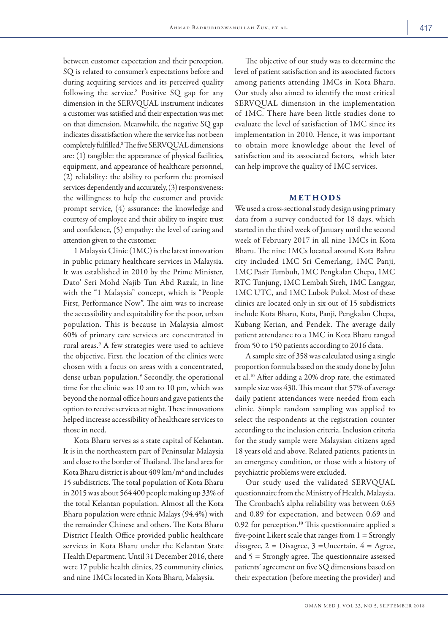between customer expectation and their perception. SQ is related to consumer's expectations before and during acquiring services and its perceived quality following the service.<sup>8</sup> Positive SQ gap for any dimension in the SERVQUAL instrument indicates a customer was satisfied and their expectation was met on that dimension. Meanwhile, the negative SQ gap indicates dissatisfaction where the service has not been completely fulfilled.8 The five SERVQUAL dimensions are: (1) tangible: the appearance of physical facilities, equipment, and appearance of healthcare personnel, (2) reliability: the ability to perform the promised services dependently and accurately, (3) responsiveness: the willingness to help the customer and provide prompt service, (4) assurance: the knowledge and courtesy of employee and their ability to inspire trust and confidence, (5) empathy: the level of caring and attention given to the customer.

1 Malaysia Clinic (1MC) is the latest innovation in public primary healthcare services in Malaysia. It was established in 2010 by the Prime Minister, Dato' Seri Mohd Najib Tun Abd Razak, in line with the "1 Malaysia" concept, which is "People First, Performance Now". The aim was to increase the accessibility and equitability for the poor, urban population. This is because in Malaysia almost 60% of primary care services are concentrated in rural areas.9 A few strategies were used to achieve the objective. First, the location of the clinics were chosen with a focus on areas with a concentrated, dense urban population.<sup>9</sup> Secondly, the operational time for the clinic was 10 am to 10 pm, which was beyond the normal office hours and gave patients the option to receive services at night. These innovations helped increase accessibility of healthcare services to those in need.

Kota Bharu serves as a state capital of Kelantan. It is in the northeastern part of Peninsular Malaysia and close to the border of Thailand. The land area for Kota Bharu district is about 409 km/m2 and includes 15 subdistricts. The total population of Kota Bharu in 2015 was about 564400 people making up 33% of the total Kelantan population. Almost all the Kota Bharu population were ethnic Malays (94.4%) with the remainder Chinese and others. The Kota Bharu District Health Office provided public healthcare services in Kota Bharu under the Kelantan State Health Department. Until 31 December 2016, there were 17 public health clinics, 25 community clinics, and nine 1MCs located in Kota Bharu, Malaysia.

The objective of our study was to determine the level of patient satisfaction and its associated factors among patients attending 1MCs in Kota Bharu. Our study also aimed to identify the most critical SERVQUAL dimension in the implementation of 1MC. There have been little studies done to evaluate the level of satisfaction of 1MC since its implementation in 2010. Hence, it was important to obtain more knowledge about the level of satisfaction and its associated factors, which later can help improve the quality of 1MC services.

## METHODS

We used a cross-sectional study design using primary data from a survey conducted for 18 days, which started in the third week of January until the second week of February 2017 in all nine 1MCs in Kota Bharu. The nine 1MCs located around Kota Bahru city included 1MC Sri Cemerlang, 1MC Panji, 1MC Pasir Tumbuh, 1MC Pengkalan Chepa, 1MC RTC Tunjung, 1MC Lembah Sireh, 1MC Langgar, 1MC UTC, and 1MC Lubok Pukol. Most of these clinics are located only in six out of 15 subdistricts include Kota Bharu, Kota, Panji, Pengkalan Chepa, Kubang Kerian, and Pendek. The average daily patient attendance to a 1MC in Kota Bharu ranged from 50 to 150 patients according to 2016 data.

A sample size of 358 was calculated using a single proportion formula based on the study done by John et al.10 After adding a 20% drop rate, the estimated sample size was 430. This meant that 57% of average daily patient attendances were needed from each clinic. Simple random sampling was applied to select the respondents at the registration counter according to the inclusion criteria. Inclusion criteria for the study sample were Malaysian citizens aged 18 years old and above. Related patients, patients in an emergency condition, or those with a history of psychiatric problems were excluded.

Our study used the validated SERVQUAL questionnaire from the Ministry of Health, Malaysia. The Cronbach's alpha reliability was between 0.63 and 0.89 for expectation, and between 0.69 and 0.92 for perception.10 This questionnaire applied a five-point Likert scale that ranges from  $1 =$  Strongly disagree,  $2 = Disagree$ ,  $3 = Uncertain$ ,  $4 = Agree$ , and 5 = Strongly agree. The questionnaire assessed patients' agreement on five SQ dimensions based on their expectation (before meeting the provider) and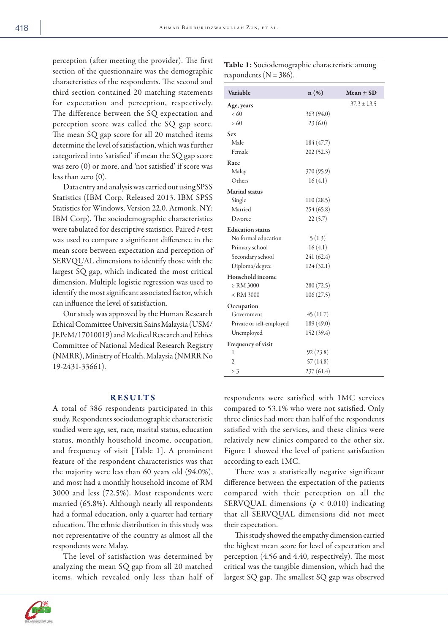perception (after meeting the provider). The first section of the questionnaire was the demographic characteristics of the respondents. The second and third section contained 20 matching statements for expectation and perception, respectively. The difference between the SQ expectation and perception score was called the SQ gap score. The mean SQ gap score for all 20 matched items determine the level of satisfaction, which was further categorized into 'satisfied' if mean the SQ gap score was zero (0) or more, and 'not satisfied' if score was less than zero (0).

Data entry and analysis was carried out using SPSS Statistics (IBM Corp. Released 2013. IBM SPSS Statistics for Windows, Version 22.0. Armonk, NY: IBM Corp). The sociodemographic characteristics were tabulated for descriptive statistics. Paired *t*-test was used to compare a significant difference in the mean score between expectation and perception of SERVQUAL dimensions to identify those with the largest SQ gap, which indicated the most critical dimension. Multiple logistic regression was used to identify the most significant associated factor, which can influence the level of satisfaction.

Our study was approved by the Human Research Ethical Committee Universiti Sains Malaysia (USM/ JEPeM/17010019) and Medical Research and Ethics Committee of National Medical Research Registry (NMRR), Ministry of Health, Malaysia (NMRR No 19-2431-33661).

## RESULTS

A total of 386 respondents participated in this study. Respondents sociodemographic characteristic studied were age, sex, race, marital status, education status, monthly household income, occupation, and frequency of visit [Table 1]. A prominent feature of the respondent characteristics was that the majority were less than 60 years old (94.0%), and most had a monthly household income of RM 3000 and less (72.5%). Most respondents were married (65.8%). Although nearly all respondents had a formal education, only a quarter had tertiary education. The ethnic distribution in this study was not representative of the country as almost all the respondents were Malay.

The level of satisfaction was determined by analyzing the mean SQ gap from all 20 matched items, which revealed only less than half of

| Variable                                            | $n(\%)$    | Mean $\pm$ SD   |
|-----------------------------------------------------|------------|-----------------|
| Age, years                                          |            | $37.3 \pm 13.5$ |
| < 60                                                | 363(94.0)  |                 |
| >60                                                 | 23(6.0)    |                 |
| <b>Sex</b>                                          |            |                 |
| Male                                                | 184(47.7)  |                 |
| Female                                              | 202(52.3)  |                 |
| Race                                                |            |                 |
| Malay                                               | 370 (95.9) |                 |
| Others                                              | 16(4.1)    |                 |
| <b>Marital</b> status                               |            |                 |
| Single                                              | 110(28.5)  |                 |
| Married                                             | 254(65.8)  |                 |
| Divorce                                             | 22(5.7)    |                 |
| <b>Education status</b>                             |            |                 |
| No formal education                                 | 5(1.3)     |                 |
| Primary school                                      | 16(4.1)    |                 |
| Secondary school                                    | 241 (62.4) |                 |
| Diploma/degree                                      | 124(32.1)  |                 |
| Household income                                    |            |                 |
| $\ge$ RM 3000                                       | 280(72.5)  |                 |
| <rm 3000<="" td=""><td>106(27.5)</td><td></td></rm> | 106(27.5)  |                 |
| Occupation                                          |            |                 |
| Government                                          | 45(11.7)   |                 |
| Private or self-employed                            | 189 (49.0) |                 |
| Unemployed                                          | 152(39.4)  |                 |
| Frequency of visit                                  |            |                 |
| 1                                                   | 92 (23.8)  |                 |
| $\overline{c}$                                      | 57(14.8)   |                 |
| $\geq 3$                                            | 237(61.4)  |                 |

Table 1: Sociodemographic characteristic among respondents ( $N = 386$ ).

respondents were satisfied with 1MC services compared to 53.1% who were not satisfied. Only three clinics had more than half of the respondents satisfied with the services, and these clinics were relatively new clinics compared to the other six. Figure 1 showed the level of patient satisfaction according to each 1MC.

There was a statistically negative significant difference between the expectation of the patients compared with their perception on all the SERVQUAL dimensions ( $p < 0.010$ ) indicating that all SERVQUAL dimensions did not meet their expectation.

This study showed the empathy dimension carried the highest mean score for level of expectation and perception (4.56 and 4.40, respectively). The most critical was the tangible dimension, which had the largest SQ gap. The smallest SQ gap was observed



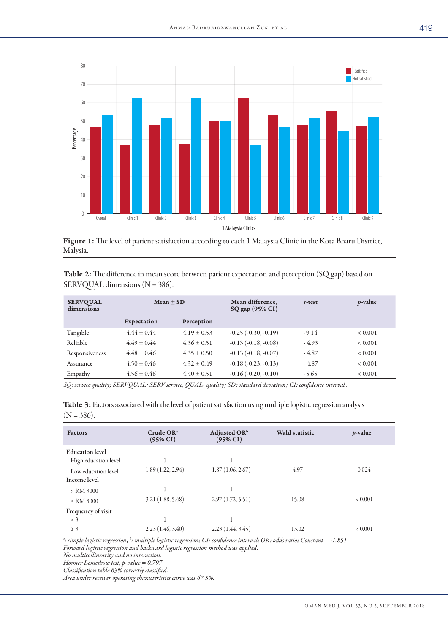

Figure 1: The level of patient satisfaction according to each 1 Malaysia Clinic in the Kota Bharu District, Malysia.

Table 2: The difference in mean score between patient expectation and perception (SQ gap) based on SERVQUAL dimensions (N = 386).

| <b>SERVQUAL</b><br>dimensions | Mean $\pm$ SD   |                 | Mean difference,<br>SQ gap (95% CI) | $t$ -test | $p$ -value  |
|-------------------------------|-----------------|-----------------|-------------------------------------|-----------|-------------|
|                               | Expectation     | Perception      |                                     |           |             |
| Tangible                      | $4.44 + 0.44$   | $4.19 \pm 0.53$ | $-0.25$ $(-0.30, -0.19)$            | $-9.14$   | < 0.001     |
| Reliable                      | $4.49 + 0.44$   | $4.36 \pm 0.51$ | $-0.13$ $(-0.18, -0.08)$            | $-4.93$   | < 0.001     |
| Responsiveness                | $4.48 + 0.46$   | $4.35 \pm 0.50$ | $-0.13$ $(-0.18, -0.07)$            | - 4.87    | < 0.001     |
| Assurance                     | $4.50 \pm 0.46$ | $4.32 + 0.49$   | $-0.18(-0.23, -0.13)$               | $-4.87$   | < 0.001     |
| Empathy                       | $4.56 \pm 0.46$ | $4.40 \pm 0.51$ | $-0.16(-0.20, -0.10)$               | $-5.65$   | ${}< 0.001$ |

*SQ: service quality; SERVQUAL: SERV-service, QUAL- quality; SD: standard deviation; CI: confidence interval .*

Table 3: Factors associated with the level of patient satisfaction using multiple logistic regression analysis  $(N = 386)$ .

| <b>Factors</b>                                 | Crude OR <sup>a</sup><br>$(95\% \text{ CI})$ | Adjusted $OR^b$<br>$(95\% \text{ CI})$ | <b>Wald statistic</b> | $p$ -value |
|------------------------------------------------|----------------------------------------------|----------------------------------------|-----------------------|------------|
| <b>Education</b> level<br>High education level |                                              |                                        |                       |            |
| Low education level<br>Income level            | 1.89(1.22, 2.94)                             | 1.87(1.06, 2.67)                       | 4.97                  | 0.024      |
| > RM 3000<br>$\le$ RM 3000                     | 3.21(1.88, 5.48)                             | 2.97(1.72, 5.51)                       | 15.08                 | 0.001      |
| Frequency of visit                             |                                              |                                        |                       |            |
| $\langle 3$                                    |                                              |                                        |                       |            |
| $\geq 3$                                       | 2.23(1.46, 3.40)                             | 2.23(1.44, 3.45)                       | 13.02                 | 0.001      |

*a : simple logistic regression; <sup>b</sup> : multiple logistic regression; CI: confidence interval; OR: odds ratio; Constant = -1.851 Forward logistic regression and backward logistic regression method was applied.*

*No multicollinearity and no interaction.*

*Hosmer Lemeshow test, p-value = 0.797*

*Classification table 63% correctly classified.*

*Area under receiver operating characteristics curve was 67.5%.*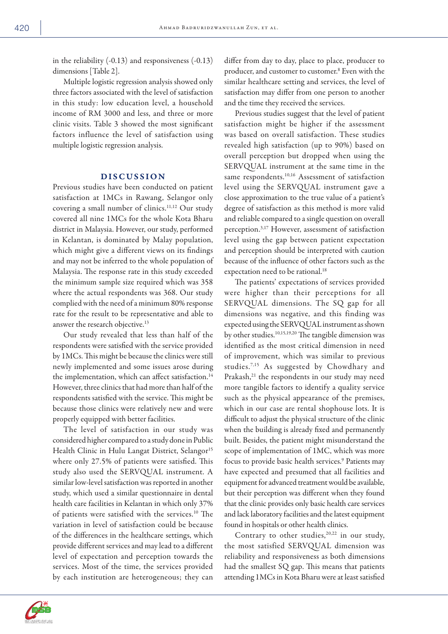in the reliability (-0.13) and responsiveness (-0.13) dimensions [Table 2].

Multiple logistic regression analysis showed only three factors associated with the level of satisfaction in this study: low education level, a household income of RM 3000 and less, and three or more clinic visits. Table 3 showed the most significant factors influence the level of satisfaction using multiple logistic regression analysis.

## DISCUSSION

Previous studies have been conducted on patient satisfaction at 1MCs in Rawang, Selangor only covering a small number of clinics.<sup>11,12</sup> Our study covered all nine 1MCs for the whole Kota Bharu district in Malaysia. However, our study, performed in Kelantan, is dominated by Malay population, which might give a different views on its findings and may not be inferred to the whole population of Malaysia. The response rate in this study exceeded the minimum sample size required which was 358 where the actual respondents was 368. Our study complied with the need of a minimum 80% response rate for the result to be representative and able to answer the research objective.<sup>13</sup>

Our study revealed that less than half of the respondents were satisfied with the service provided by 1MCs. This might be because the clinics were still newly implemented and some issues arose during the implementation, which can affect satisfaction.<sup>14</sup> However, three clinics that had more than half of the respondents satisfied with the service. This might be because those clinics were relatively new and were properly equipped with better facilities.

The level of satisfaction in our study was considered higher compared to a study done in Public Health Clinic in Hulu Langat District, Selangor<sup>15</sup> where only 27.5% of patients were satisfied. This study also used the SERVQUAL instrument. A similar low-level satisfaction was reported in another study, which used a similar questionnaire in dental health care facilities in Kelantan in which only 37% of patients were satisfied with the services.<sup>10</sup> The variation in level of satisfaction could be because of the differences in the healthcare settings, which provide different services and may lead to a different level of expectation and perception towards the services. Most of the time, the services provided by each institution are heterogeneous; they can differ from day to day, place to place, producer to producer, and customer to customer.8 Even with the similar healthcare setting and services, the level of satisfaction may differ from one person to another and the time they received the services.

Previous studies suggest that the level of patient satisfaction might be higher if the assessment was based on overall satisfaction. These studies revealed high satisfaction (up to 90%) based on overall perception but dropped when using the SERVQUAL instrument at the same time in the same respondents.<sup>10,16</sup> Assessment of satisfaction level using the SERVQUAL instrument gave a close approximation to the true value of a patient's degree of satisfaction as this method is more valid and reliable compared to a single question on overall perception.3,17 However, assessment of satisfaction level using the gap between patient expectation and perception should be interpreted with caution because of the influence of other factors such as the expectation need to be rational.<sup>18</sup>

The patients' expectations of services provided were higher than their perceptions for all SERVQUAL dimensions. The SQ gap for all dimensions was negative, and this finding was expected using the SERVQUAL instrument as shown by other studies.10,15,19,20 The tangible dimension was identified as the most critical dimension in need of improvement, which was similar to previous studies.7,15 As suggested by Chowdhary and Prakash,<sup>21</sup> the respondents in our study may need more tangible factors to identify a quality service such as the physical appearance of the premises, which in our case are rental shophouse lots. It is difficult to adjust the physical structure of the clinic when the building is already fixed and permanently built. Besides, the patient might misunderstand the scope of implementation of 1MC, which was more focus to provide basic health services.<sup>9</sup> Patients may have expected and presumed that all facilities and equipment for advanced treatment would be available, but their perception was different when they found that the clinic provides only basic health care services and lack laboratory facilities and the latest equipment found in hospitals or other health clinics.

Contrary to other studies,<sup>20,22</sup> in our study, the most satisfied SERVQUAL dimension was reliability and responsiveness as both dimensions had the smallest SQ gap. This means that patients attending 1MCs in Kota Bharu were at least satisfied

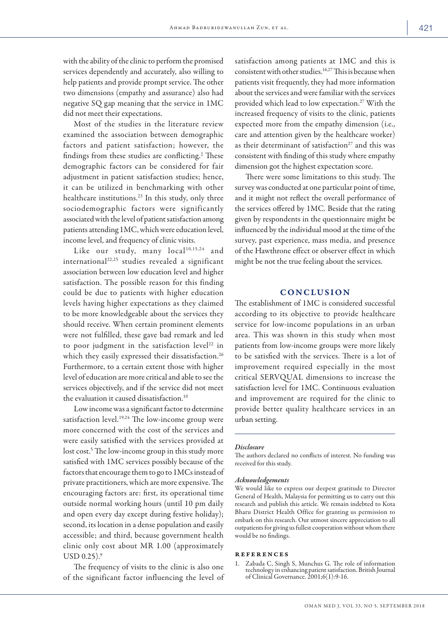with the ability of the clinic to perform the promised services dependently and accurately, also willing to help patients and provide prompt service. The other two dimensions (empathy and assurance) also had negative SQ gap meaning that the service in 1MC did not meet their expectations.

Most of the studies in the literature review examined the association between demographic factors and patient satisfaction; however, the findings from these studies are conflicting.<sup>2</sup> These demographic factors can be considered for fair adjustment in patient satisfaction studies; hence, it can be utilized in benchmarking with other healthcare institutions.<sup>23</sup> In this study, only three sociodemographic factors were significantly associated with the level of patient satisfaction among patients attending 1MC, which were education level, income level, and frequency of clinic visits.

Like our study, many local<sup>10,15,24</sup> and international22,25 studies revealed a significant association between low education level and higher satisfaction. The possible reason for this finding could be due to patients with higher education levels having higher expectations as they claimed to be more knowledgeable about the services they should receive. When certain prominent elements were not fulfilled, these gave bad remark and led to poor judgment in the satisfaction level<sup>22</sup> in which they easily expressed their dissatisfaction.<sup>26</sup> Furthermore, to a certain extent those with higher level of education are more critical and able to see the services objectively, and if the service did not meet the evaluation it caused dissatisfaction.<sup>10</sup>

Low income was a significant factor to determine satisfaction level.<sup>19,24</sup> The low-income group were more concerned with the cost of the services and were easily satisfied with the services provided at lost cost.<sup>5</sup> The low-income group in this study more satisfied with 1MC services possibly because of the factors that encourage them to go to 1MCs instead of private practitioners, which are more expensive. The encouraging factors are: first, its operational time outside normal working hours (until 10 pm daily and open every day except during festive holiday); second, its location in a dense population and easily accessible; and third, because government health clinic only cost about MR 1.00 (approximately  $USD$  0.25). $9$ 

The frequency of visits to the clinic is also one of the significant factor influencing the level of

satisfaction among patients at 1MC and this is consistent with other studies.16,27 This is because when patients visit frequently, they had more information about the services and were familiar with the services provided which lead to low expectation.27 With the increased frequency of visits to the clinic, patients expected more from the empathy dimension (i.e., care and attention given by the healthcare worker) as their determinant of satisfaction<sup>27</sup> and this was consistent with finding of this study where empathy dimension got the highest expectation score.

There were some limitations to this study. The survey was conducted at one particular point of time, and it might not reflect the overall performance of the services offered by 1MC. Beside that the rating given by respondents in the questionnaire might be influenced by the individual mood at the time of the survey, past experience, mass media, and presence of the Hawthrone effect or observer effect in which might be not the true feeling about the services.

## **CONCLUSION**

The establishment of 1MC is considered successful according to its objective to provide healthcare service for low-income populations in an urban area. This was shown in this study when most patients from low-income groups were more likely to be satisfied with the services. There is a lot of improvement required especially in the most critical SERVQUAL dimensions to increase the satisfaction level for 1MC. Continuous evaluation and improvement are required for the clinic to provide better quality healthcare services in an urban setting.

#### *Disclosure*

The authors declared no conflicts of interest. No funding was received for this study.

## *Acknowledgements*

We would like to express our deepest gratitude to Director General of Health, Malaysia for permitting us to carry out this research and publish this article. We remain indebted to Kota Bharu District Health Office for granting us permission to embark on this research. Our utmost sincere appreciation to all outpatients for giving us fullest cooperation without whom there would be no findings.

#### references

1. Zabada C, Singh S, Munchus G. The role of information technology in enhancing patient satisfaction. British Journal of Clinical Governance. 2001;6(1):9-16.